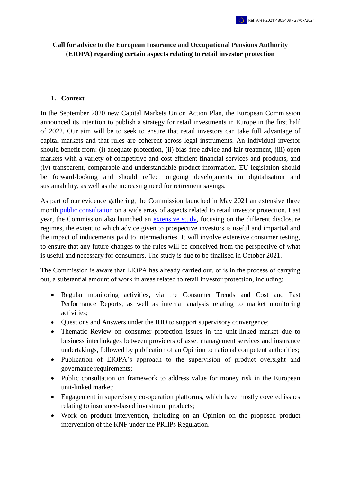# **Call for advice to the European Insurance and Occupational Pensions Authority (EIOPA) regarding certain aspects relating to retail investor protection**

#### 1. **Context**

In the September 2020 new Capital Markets Union Action Plan, the European Commission announced its intention to publish a strategy for retail investments in Europe in the first half of 2022. Our aim will be to seek to ensure that retail investors can take full advantage of capital markets and that rules are coherent across legal instruments. An individual investor should benefit from: (i) adequate protection, (ii) bias-free advice and fair treatment, (iii) open markets with a variety of competitive and cost-efficient financial services and products, and (iv) transparent, comparable and understandable product information. EU legislation should be forward-looking and should reflect ongoing developments in digitalisation and sustainability, as well as the increasing need for retirement savings.

As part of our evidence gathering, the Commission launched in May 2021 an extensive three month [public consultation](https://ec.europa.eu/eusurvey/runner/retail-investment-strategy-2021?surveylanguage=en) on a wide array of aspects related to retail investor protection. Last year, the Commission also launched an [extensive study,](https://etendering.ted.europa.eu/cft/cft-display.html?cftId=5959) focusing on the different disclosure regimes, the extent to which advice given to prospective investors is useful and impartial and the impact of inducements paid to intermediaries. It will involve extensive consumer testing, to ensure that any future changes to the rules will be conceived from the perspective of what is useful and necessary for consumers. The study is due to be finalised in October 2021.

The Commission is aware that EIOPA has already carried out, or is in the process of carrying out, a substantial amount of work in areas related to retail investor protection, including:

- Regular monitoring activities, via the Consumer Trends and Cost and Past Performance Reports, as well as internal analysis relating to market monitoring activities;
- Questions and Answers under the IDD to support supervisory convergence;
- Thematic Review on consumer protection issues in the unit-linked market due to business interlinkages between providers of asset management services and insurance undertakings, followed by publication of an Opinion to national competent authorities;
- Publication of EIOPA's approach to the supervision of product oversight and governance requirements;
- Public consultation on framework to address value for money risk in the European unit-linked market;
- Engagement in supervisory co-operation platforms, which have mostly covered issues relating to insurance-based investment products;
- Work on product intervention, including on an Opinion on the proposed product intervention of the KNF under the PRIIPs Regulation.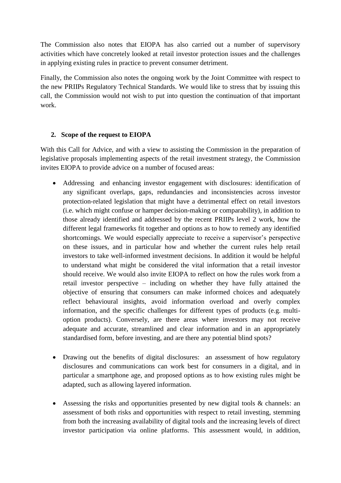The Commission also notes that EIOPA has also carried out a number of supervisory activities which have concretely looked at retail investor protection issues and the challenges in applying existing rules in practice to prevent consumer detriment.

Finally, the Commission also notes the ongoing work by the Joint Committee with respect to the new PRIIPs Regulatory Technical Standards. We would like to stress that by issuing this call, the Commission would not wish to put into question the continuation of that important work.

## **2. Scope of the request to EIOPA**

With this Call for Advice, and with a view to assisting the Commission in the preparation of legislative proposals implementing aspects of the retail investment strategy, the Commission invites EIOPA to provide advice on a number of focused areas:

- Addressing and enhancing investor engagement with disclosures: identification of any significant overlaps, gaps, redundancies and inconsistencies across investor protection-related legislation that might have a detrimental effect on retail investors (i.e. which might confuse or hamper decision-making or comparability), in addition to those already identified and addressed by the recent PRIIPs level 2 work, how the different legal frameworks fit together and options as to how to remedy any identified shortcomings. We would especially appreciate to receive a supervisor's perspective on these issues, and in particular how and whether the current rules help retail investors to take well-informed investment decisions. In addition it would be helpful to understand what might be considered the vital information that a retail investor should receive. We would also invite EIOPA to reflect on how the rules work from a retail investor perspective – including on whether they have fully attained the objective of ensuring that consumers can make informed choices and adequately reflect behavioural insights, avoid information overload and overly complex information, and the specific challenges for different types of products (e.g. multioption products). Conversely, are there areas where investors may not receive adequate and accurate, streamlined and clear information and in an appropriately standardised form, before investing, and are there any potential blind spots?
- Drawing out the benefits of digital disclosures: an assessment of how regulatory disclosures and communications can work best for consumers in a digital, and in particular a smartphone age, and proposed options as to how existing rules might be adapted, such as allowing layered information.
- Assessing the risks and opportunities presented by new digital tools & channels: an assessment of both risks and opportunities with respect to retail investing, stemming from both the increasing availability of digital tools and the increasing levels of direct investor participation via online platforms. This assessment would, in addition,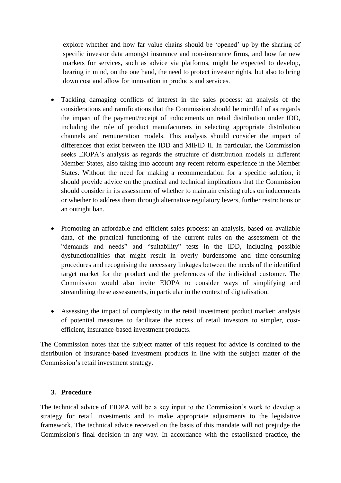explore whether and how far value chains should be 'opened' up by the sharing of specific investor data amongst insurance and non-insurance firms, and how far new markets for services, such as advice via platforms, might be expected to develop, bearing in mind, on the one hand, the need to protect investor rights, but also to bring down cost and allow for innovation in products and services.

- Tackling damaging conflicts of interest in the sales process: an analysis of the considerations and ramifications that the Commission should be mindful of as regards the impact of the payment/receipt of inducements on retail distribution under IDD, including the role of product manufacturers in selecting appropriate distribution channels and remuneration models. This analysis should consider the impact of differences that exist between the IDD and MIFID II. In particular, the Commission seeks EIOPA's analysis as regards the structure of distribution models in different Member States, also taking into account any recent reform experience in the Member States. Without the need for making a recommendation for a specific solution, it should provide advice on the practical and technical implications that the Commission should consider in its assessment of whether to maintain existing rules on inducements or whether to address them through alternative regulatory levers, further restrictions or an outright ban.
- Promoting an affordable and efficient sales process: an analysis, based on available data, of the practical functioning of the current rules on the assessment of the "demands and needs" and "suitability" tests in the IDD, including possible dysfunctionalities that might result in overly burdensome and time-consuming procedures and recognising the necessary linkages between the needs of the identified target market for the product and the preferences of the individual customer. The Commission would also invite EIOPA to consider ways of simplifying and streamlining these assessments, in particular in the context of digitalisation.
- Assessing the impact of complexity in the retail investment product market: analysis of potential measures to facilitate the access of retail investors to simpler, costefficient, insurance-based investment products.

The Commission notes that the subject matter of this request for advice is confined to the distribution of insurance-based investment products in line with the subject matter of the Commission's retail investment strategy.

#### **3. Procedure**

The technical advice of EIOPA will be a key input to the Commission's work to develop a strategy for retail investments and to make appropriate adjustments to the legislative framework. The technical advice received on the basis of this mandate will not prejudge the Commission's final decision in any way. In accordance with the established practice, the